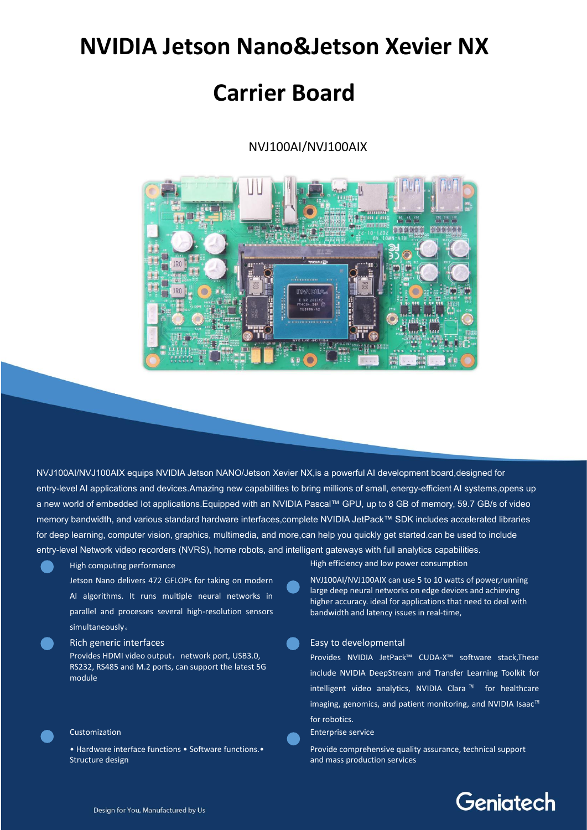## **NVIDIA Jetson Nano&Jetson Xevier NX**

# **Carrier Board**

### NVJ100AI/NVJ100AIX



NVJ100AI/NVJ100AIX equips NVIDIA Jetson NANO/Jetson Xevier NX,is a powerful AI development board,designed for entry-level AI applications and devices.Amazing new capabilities to bring millions of small, energy-efficient AI systems,opens up a new world of embedded Iot applications.Equipped with an NVIDIA Pascal™ GPU, up to 8 GB of memory, 59.7 GB/s of video memory bandwidth, and various standard hardware interfaces,complete NVIDIA JetPack™ SDK includes accelerated libraries for deep learning, computer vision, graphics, multimedia, and more,can help you quickly get started.can be used to include entry-level Network video recorders (NVRS), home robots, and intelligent gateways with full analytics capabilities.

#### High computing performance

Jetson Nano delivers 472 GFLOPs for taking on modern AI algorithms. It runs multiple neural networks in parallel and processes several high-resolution sensors simultaneously。

#### Rich generic interfaces

Provides HDMI video output, network port, USB3.0, RS232, RS485 and M.2 ports, can support the latest 5G Rich generic interfaces<br>
Provides HDMI video output, network port, USB3.0,<br>
RS232, RS485 and M.2 ports, can support the latest 5G<br>
module<br>
module

#### Customization

• Hardware interface functions • Software functions.• Structure design

High efficiency and low power consumption

NVJ100AI/NVJ100AIX can use 5 to 10 watts of power,running large deep neural networks on edge devices and achieving higher accuracy. ideal for applications that need to deal with bandwidth and latency issues in real-time,

Provides NVIDIA JetPack™ CUDA-X™ software stack,These include NVIDIA DeepStream and Transfer Learning Toolkit for intelligent video analytics, NVIDIA Clara ™ for healthcare imaging, genomics, and patient monitoring, and NVIDIA Isaac™ for robotics.

Enterprise service

Provide comprehensive quality assurance, technical support and mass production services

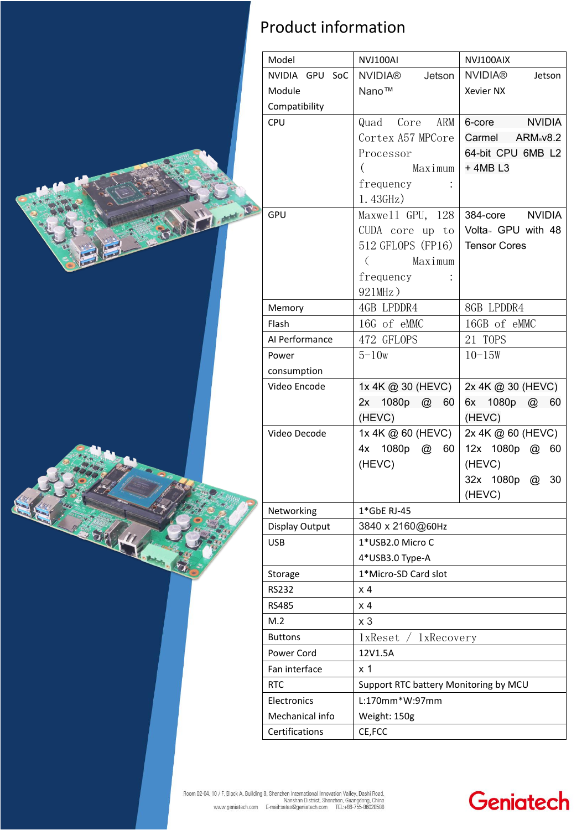

### Product information

| Model           | NVJ100AI                              | NVJ100AIX                         |
|-----------------|---------------------------------------|-----------------------------------|
| NVIDIA GPU SoC  | <b>NVIDIA®</b><br>Jetson              | <b>NVIDIA®</b><br>Jetson          |
| Module          | Nano™                                 | Xevier NX                         |
| Compatibility   |                                       |                                   |
| CPU             | ARM<br>Quad<br>Core                   | 6-core<br><b>NVIDIA</b>           |
|                 | Cortex A57 MPCore                     | ARM.v8.2<br>Carmel                |
|                 | Processor                             | 64-bit CPU 6MB L2                 |
|                 | Maximum<br>$\left($                   | +4MBL3                            |
|                 | frequency                             |                                   |
|                 | 1.43GHz)                              |                                   |
| GPU             | Maxwell GPU, 128                      | <b>NVIDIA</b><br>384-core         |
|                 | $CUDA$ core up to                     | Volta <sub>®</sub> GPU with 48    |
|                 | 512 GFLOPS (FP16)                     | <b>Tensor Cores</b>               |
|                 | $\left($<br>Maximum                   |                                   |
|                 | frequency                             |                                   |
|                 | 921MHz)                               |                                   |
| Memory          | 4GB LPDDR4                            | 8GB LPDDR4                        |
| Flash           | 16G of eMMC                           | 16GB of eMMC                      |
| Al Performance  | 472 GFLOPS                            | 21 TOPS                           |
| Power           | $5 - 10w$                             | $10 - 15W$                        |
| consumption     |                                       |                                   |
| Video Encode    | 1x 4K @ 30 (HEVC)                     | 2x 4K @ 30 (HEVC)                 |
|                 | 2x 1080p<br>@ 60                      | 6x 1080p<br>$\omega$<br>- 60      |
|                 | (HEVC)                                | (HEVC)                            |
| Video Decode    | 1x 4K @ 60 (HEVC)                     | 2x 4K @ 60 (HEVC)                 |
|                 | 4x 1080p<br>$\circleda$<br>60         | 12x 1080p @ 60                    |
|                 | (HEVC)                                | (HEVC)                            |
|                 |                                       | 32x 1080p<br>30<br>$^{\circledR}$ |
|                 |                                       | (HEVC)                            |
| Networking      | $1*$ GbE RJ-45                        |                                   |
| Display Output  | 3840 x 2160@60Hz                      |                                   |
| <b>USB</b>      | 1*USB2.0 Micro C                      |                                   |
|                 | 4*USB3.0 Type-A                       |                                   |
| Storage         | 1*Micro-SD Card slot                  |                                   |
| <b>RS232</b>    | $\times 4$                            |                                   |
| RS485           | $\times 4$                            |                                   |
| M.2             | x <sub>3</sub>                        |                                   |
| <b>Buttons</b>  | $1x$ Reset /<br><i>lxRecovery</i>     |                                   |
| Power Cord      | 12V1.5A                               |                                   |
| Fan interface   | x <sub>1</sub>                        |                                   |
| <b>RTC</b>      | Support RTC battery Monitoring by MCU |                                   |
| Electronics     | L:170mm*W:97mm                        |                                   |
| Mechanical info | Weight: 150g                          |                                   |
| Certifications  | CE, FCC                               |                                   |

# Geniatech